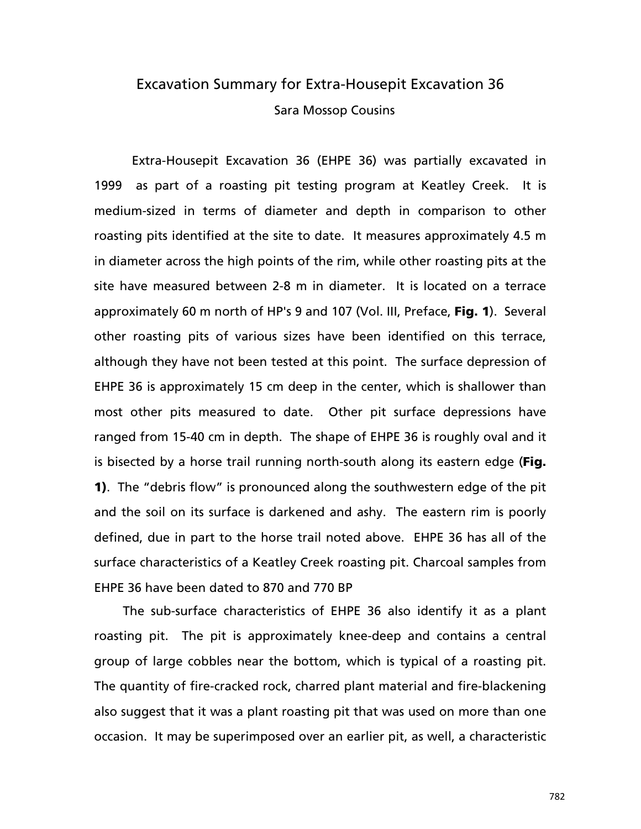# Excavation Summary for Extra-Housepit Excavation 36 Sara Mossop Cousins

 Extra-Housepit Excavation 36 (EHPE 36) was partially excavated in 1999 as part of a roasting pit testing program at Keatley Creek. It is medium-sized in terms of diameter and depth in comparison to other roasting pits identified at the site to date. It measures approximately 4.5 m in diameter across the high points of the rim, while other roasting pits at the site have measured between 2-8 m in diameter. It is located on a terrace approximately 60 m north of HP's 9 and 107 (Vol. III, Preface, Fig. 1). Several other roasting pits of various sizes have been identified on this terrace, although they have not been tested at this point. The surface depression of EHPE 36 is approximately 15 cm deep in the center, which is shallower than most other pits measured to date. Other pit surface depressions have ranged from 15-40 cm in depth. The shape of EHPE 36 is roughly oval and it is bisected by a horse trail running north-south along its eastern edge (Fig. 1). The "debris flow" is pronounced along the southwestern edge of the pit and the soil on its surface is darkened and ashy. The eastern rim is poorly defined, due in part to the horse trail noted above. EHPE 36 has all of the surface characteristics of a Keatley Creek roasting pit. Charcoal samples from EHPE 36 have been dated to 870 and 770 BP

The sub-surface characteristics of EHPE 36 also identify it as a plant roasting pit. The pit is approximately knee-deep and contains a central group of large cobbles near the bottom, which is typical of a roasting pit. The quantity of fire-cracked rock, charred plant material and fire-blackening also suggest that it was a plant roasting pit that was used on more than one occasion. It may be superimposed over an earlier pit, as well, a characteristic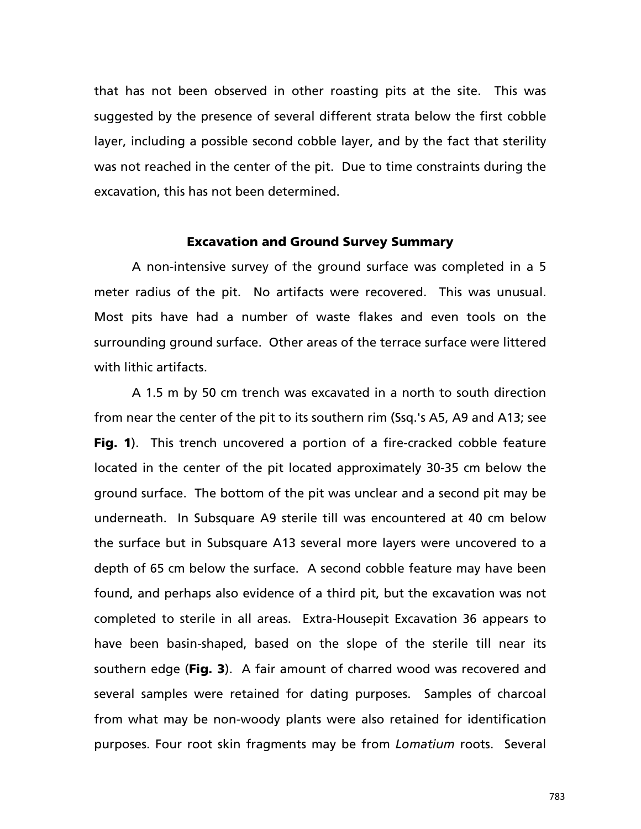that has not been observed in other roasting pits at the site. This was suggested by the presence of several different strata below the first cobble layer, including a possible second cobble layer, and by the fact that sterility was not reached in the center of the pit. Due to time constraints during the excavation, this has not been determined.

# Excavation and Ground Survey Summary

A non-intensive survey of the ground surface was completed in a 5 meter radius of the pit. No artifacts were recovered. This was unusual. Most pits have had a number of waste flakes and even tools on the surrounding ground surface. Other areas of the terrace surface were littered with lithic artifacts.

A 1.5 m by 50 cm trench was excavated in a north to south direction from near the center of the pit to its southern rim (Ssq.'s A5, A9 and A13; see Fig. 1). This trench uncovered a portion of a fire-cracked cobble feature located in the center of the pit located approximately 30-35 cm below the ground surface. The bottom of the pit was unclear and a second pit may be underneath. In Subsquare A9 sterile till was encountered at 40 cm below the surface but in Subsquare A13 several more layers were uncovered to a depth of 65 cm below the surface. A second cobble feature may have been found, and perhaps also evidence of a third pit, but the excavation was not completed to sterile in all areas. Extra-Housepit Excavation 36 appears to have been basin-shaped, based on the slope of the sterile till near its southern edge (Fig. 3). A fair amount of charred wood was recovered and several samples were retained for dating purposes. Samples of charcoal from what may be non-woody plants were also retained for identification purposes. Four root skin fragments may be from *Lomatium* roots. Several

783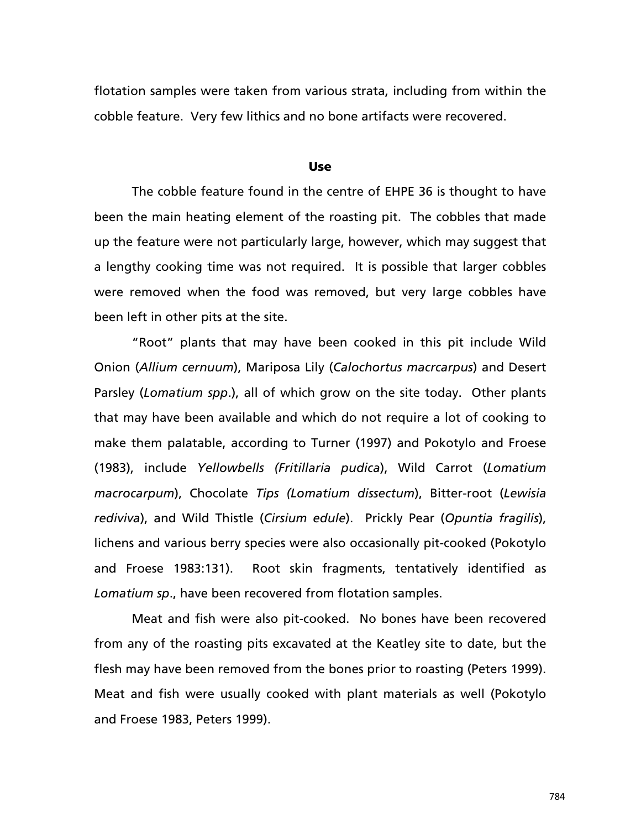flotation samples were taken from various strata, including from within the cobble feature. Very few lithics and no bone artifacts were recovered.

#### Use

The cobble feature found in the centre of EHPE 36 is thought to have been the main heating element of the roasting pit. The cobbles that made up the feature were not particularly large, however, which may suggest that a lengthy cooking time was not required. It is possible that larger cobbles were removed when the food was removed, but very large cobbles have been left in other pits at the site.

"Root" plants that may have been cooked in this pit include Wild Onion (*Allium cernuum*), Mariposa Lily (*Calochortus macrcarpus*) and Desert Parsley (*Lomatium spp*.), all of which grow on the site today. Other plants that may have been available and which do not require a lot of cooking to make them palatable, according to Turner (1997) and Pokotylo and Froese (1983), include *Yellowbells (Fritillaria pudica*), Wild Carrot (*Lomatium macrocarpum*), Chocolate *Tips (Lomatium dissectum*), Bitter-root (*Lewisia rediviva*), and Wild Thistle (*Cirsium edule*). Prickly Pear (*Opuntia fragilis*), lichens and various berry species were also occasionally pit-cooked (Pokotylo and Froese 1983:131). Root skin fragments, tentatively identified as *Lomatium sp*., have been recovered from flotation samples.

Meat and fish were also pit-cooked. No bones have been recovered from any of the roasting pits excavated at the Keatley site to date, but the flesh may have been removed from the bones prior to roasting (Peters 1999). Meat and fish were usually cooked with plant materials as well (Pokotylo and Froese 1983, Peters 1999).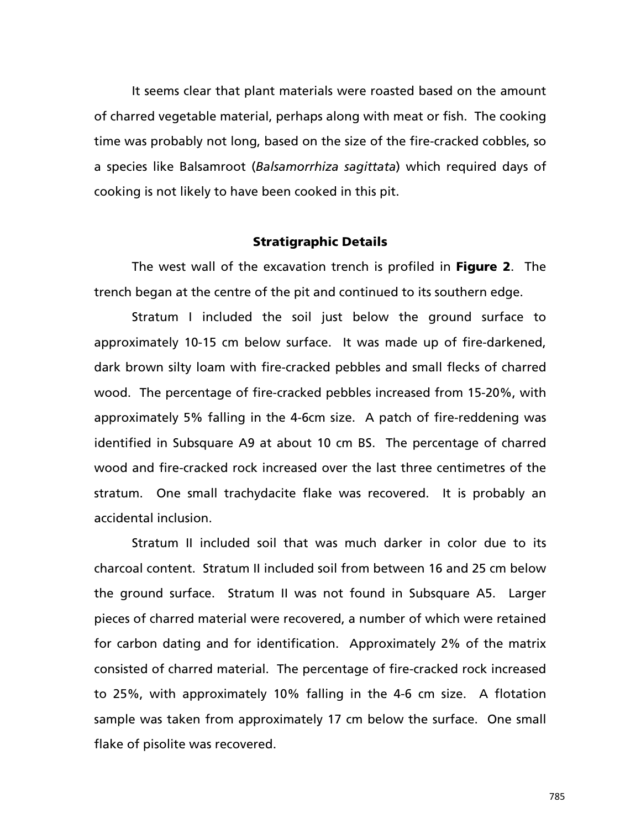It seems clear that plant materials were roasted based on the amount of charred vegetable material, perhaps along with meat or fish. The cooking time was probably not long, based on the size of the fire-cracked cobbles, so a species like Balsamroot (*Balsamorrhiza sagittata*) which required days of cooking is not likely to have been cooked in this pit.

# Stratigraphic Details

The west wall of the excavation trench is profiled in **Figure 2**. The trench began at the centre of the pit and continued to its southern edge.

Stratum I included the soil just below the ground surface to approximately 10-15 cm below surface. It was made up of fire-darkened, dark brown silty loam with fire-cracked pebbles and small flecks of charred wood. The percentage of fire-cracked pebbles increased from 15-20%, with approximately 5% falling in the 4-6cm size. A patch of fire-reddening was identified in Subsquare A9 at about 10 cm BS. The percentage of charred wood and fire-cracked rock increased over the last three centimetres of the stratum. One small trachydacite flake was recovered. It is probably an accidental inclusion.

Stratum II included soil that was much darker in color due to its charcoal content. Stratum II included soil from between 16 and 25 cm below the ground surface. Stratum II was not found in Subsquare A5. Larger pieces of charred material were recovered, a number of which were retained for carbon dating and for identification. Approximately 2% of the matrix consisted of charred material. The percentage of fire-cracked rock increased to 25%, with approximately 10% falling in the 4-6 cm size. A flotation sample was taken from approximately 17 cm below the surface. One small flake of pisolite was recovered.

785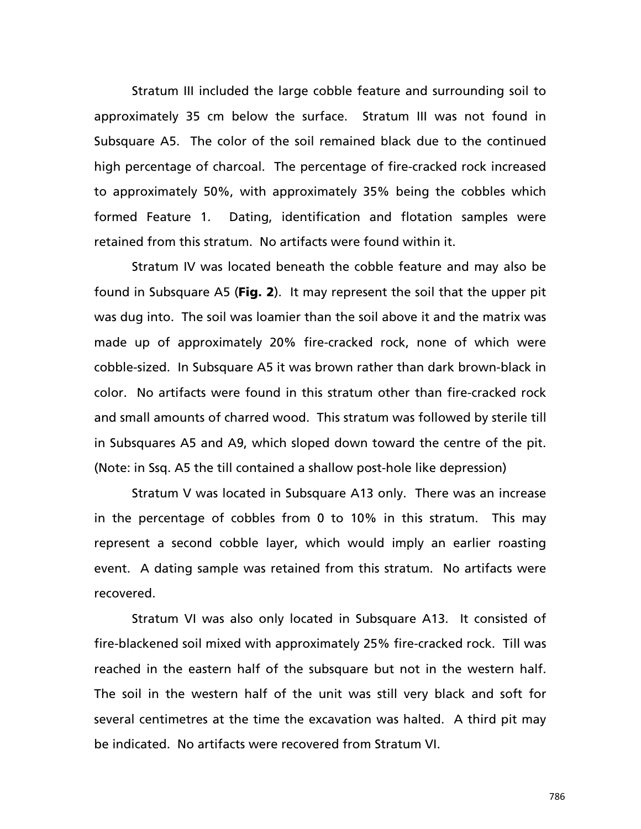Stratum III included the large cobble feature and surrounding soil to approximately 35 cm below the surface. Stratum III was not found in Subsquare A5. The color of the soil remained black due to the continued high percentage of charcoal. The percentage of fire-cracked rock increased to approximately 50%, with approximately 35% being the cobbles which formed Feature 1. Dating, identification and flotation samples were retained from this stratum. No artifacts were found within it.

Stratum IV was located beneath the cobble feature and may also be found in Subsquare A5 (Fig. 2). It may represent the soil that the upper pit was dug into. The soil was loamier than the soil above it and the matrix was made up of approximately 20% fire-cracked rock, none of which were cobble-sized. In Subsquare A5 it was brown rather than dark brown-black in color. No artifacts were found in this stratum other than fire-cracked rock and small amounts of charred wood. This stratum was followed by sterile till in Subsquares A5 and A9, which sloped down toward the centre of the pit. (Note: in Ssq. A5 the till contained a shallow post-hole like depression)

Stratum V was located in Subsquare A13 only. There was an increase in the percentage of cobbles from 0 to 10% in this stratum. This may represent a second cobble layer, which would imply an earlier roasting event. A dating sample was retained from this stratum. No artifacts were recovered.

Stratum VI was also only located in Subsquare A13. It consisted of fire-blackened soil mixed with approximately 25% fire-cracked rock. Till was reached in the eastern half of the subsquare but not in the western half. The soil in the western half of the unit was still very black and soft for several centimetres at the time the excavation was halted. A third pit may be indicated. No artifacts were recovered from Stratum VI.

786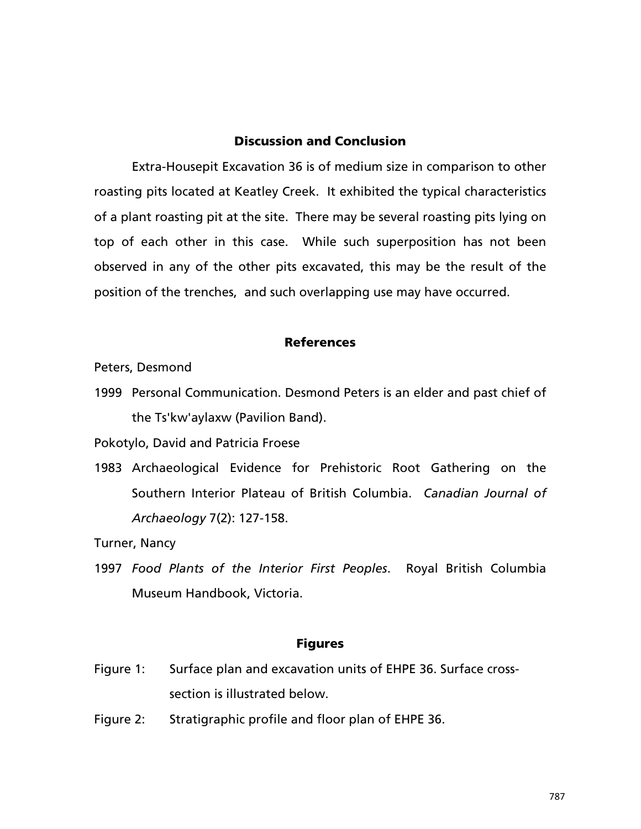# Discussion and Conclusion

Extra-Housepit Excavation 36 is of medium size in comparison to other roasting pits located at Keatley Creek. It exhibited the typical characteristics of a plant roasting pit at the site. There may be several roasting pits lying on top of each other in this case. While such superposition has not been observed in any of the other pits excavated, this may be the result of the position of the trenches, and such overlapping use may have occurred.

# References

Peters, Desmond

1999 Personal Communication. Desmond Peters is an elder and past chief of the Ts'kw'aylaxw (Pavilion Band).

Pokotylo, David and Patricia Froese

1983 Archaeological Evidence for Prehistoric Root Gathering on the Southern Interior Plateau of British Columbia. *Canadian Journal of Archaeology* 7(2): 127-158.

Turner, Nancy

1997 *Food Plants of the Interior First Peoples*. Royal British Columbia Museum Handbook, Victoria.

### Figures

- Figure 1: Surface plan and excavation units of EHPE 36. Surface crosssection is illustrated below.
- Figure 2: Stratigraphic profile and floor plan of EHPE 36.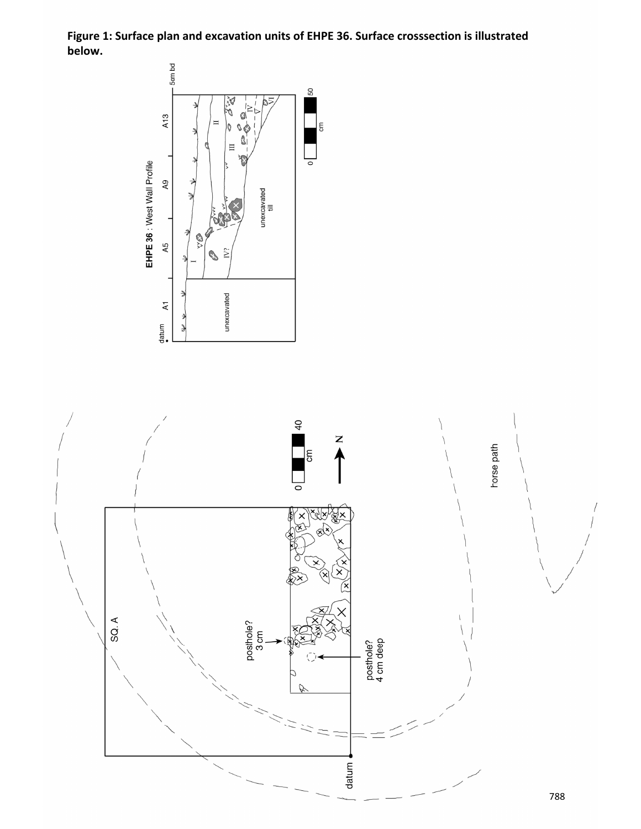**Figure 1: Surface plan and excavation units of EHPE 36. Surface crosssection is illustrated below.** 

 $\mathop{\mathsf{em}}$